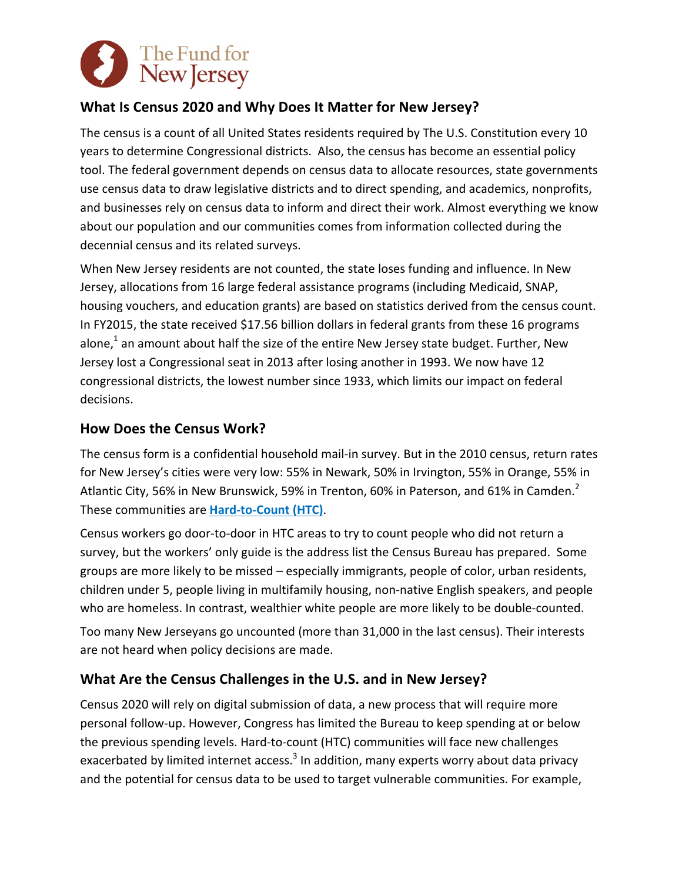

# **What Is Census 2020 and Why Does It Matter for New Jersey?**

The census is a count of all United States residents required by The U.S. Constitution every 10 years to determine Congressional districts. Also, the census has become an essential policy tool. The federal government depends on census data to allocate resources, state governments use census data to draw legislative districts and to direct spending, and academics, nonprofits, and businesses rely on census data to inform and direct their work. Almost everything we know about our population and our communities comes from information collected during the decennial census and its related surveys.

When New Jersey residents are not counted, the state loses funding and influence. In New Jersey, allocations from 16 large federal assistance programs (including Medicaid, SNAP, housing vouchers, and education grants) are based on statistics derived from the census count. In FY2015, the state received \$17.56 billion dollars in federal grants from these 16 programs alone,<sup>1</sup> an amount about half the size of the entire New Jersey state budget. Further, New Jersey lost a Congressional seat in 2013 after losing another in 1993. We now have 12 congressional districts, the lowest number since 1933, which limits our impact on federal decisions.

#### **How Does the Census Work?**

The census form is a confidential household mail-in survey. But in the 2010 census, return rates for New Jersey's cities were very low: 55% in Newark, 50% in Irvington, 55% in Orange, 55% in Atlantic City, 56% in New Brunswick, 59% in Trenton, 60% in Paterson, and 61% in Camden. $^2$ These communities are **Hard-to-Count (HTC)**.

Census workers go door-to-door in HTC areas to try to count people who did not return a survey, but the workers' only guide is the address list the Census Bureau has prepared. Some groups are more likely to be missed – especially immigrants, people of color, urban residents, children under 5, people living in multifamily housing, non-native English speakers, and people who are homeless. In contrast, wealthier white people are more likely to be double-counted.

Too many New Jerseyans go uncounted (more than 31,000 in the last census). Their interests are not heard when policy decisions are made.

### **What Are the Census Challenges in the U.S. and in New Jersey?**

Census 2020 will rely on digital submission of data, a new process that will require more personal follow-up. However, Congress has limited the Bureau to keep spending at or below the previous spending levels. Hard-to-count (HTC) communities will face new challenges exacerbated by limited internet access.<sup>3</sup> In addition, many experts worry about data privacy and the potential for census data to be used to target vulnerable communities. For example,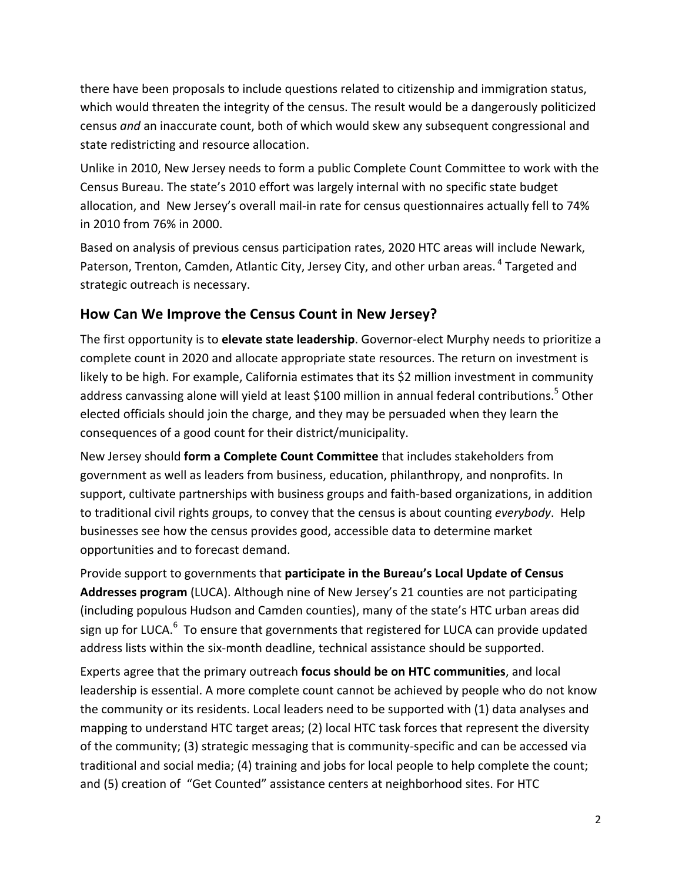there have been proposals to include questions related to citizenship and immigration status, which would threaten the integrity of the census. The result would be a dangerously politicized census *and* an inaccurate count, both of which would skew any subsequent congressional and state redistricting and resource allocation.

Unlike in 2010, New Jersey needs to form a public Complete Count Committee to work with the Census Bureau. The state's 2010 effort was largely internal with no specific state budget allocation, and New Jersey's overall mail-in rate for census questionnaires actually fell to 74% in 2010 from 76% in 2000. 

Based on analysis of previous census participation rates, 2020 HTC areas will include Newark, Paterson, Trenton, Camden, Atlantic City, Jersey City, and other urban areas. <sup>4</sup> Targeted and strategic outreach is necessary.

### **How Can We Improve the Census Count in New Jersey?**

The first opportunity is to elevate state leadership. Governor-elect Murphy needs to prioritize a complete count in 2020 and allocate appropriate state resources. The return on investment is likely to be high. For example, California estimates that its \$2 million investment in community address canvassing alone will yield at least \$100 million in annual federal contributions.<sup>5</sup> Other elected officials should join the charge, and they may be persuaded when they learn the consequences of a good count for their district/municipality.

New Jersey should **form a Complete Count Committee** that includes stakeholders from government as well as leaders from business, education, philanthropy, and nonprofits. In support, cultivate partnerships with business groups and faith-based organizations, in addition to traditional civil rights groups, to convey that the census is about counting *everybody*. Help businesses see how the census provides good, accessible data to determine market opportunities and to forecast demand.

Provide support to governments that **participate in the Bureau's Local Update of Census Addresses program** (LUCA). Although nine of New Jersey's 21 counties are not participating (including populous Hudson and Camden counties), many of the state's HTC urban areas did sign up for LUCA.<sup>6</sup> To ensure that governments that registered for LUCA can provide updated address lists within the six-month deadline, technical assistance should be supported.

Experts agree that the primary outreach **focus should be on HTC communities**, and local leadership is essential. A more complete count cannot be achieved by people who do not know the community or its residents. Local leaders need to be supported with (1) data analyses and mapping to understand HTC target areas; (2) local HTC task forces that represent the diversity of the community; (3) strategic messaging that is community-specific and can be accessed via traditional and social media; (4) training and jobs for local people to help complete the count; and (5) creation of "Get Counted" assistance centers at neighborhood sites. For HTC